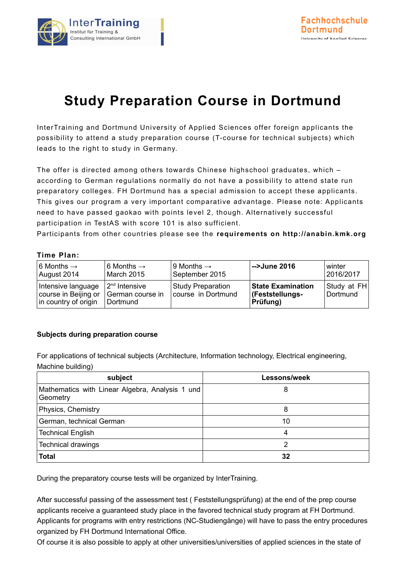

## **Study Preparation Course in Dortmund**

InterTraining and Dortmund University of Applied Sciences offer foreign applicants the possibility to attend a study preparation course (T-course for technical subjects) which leads to the right to study in Germany.

The offer is directed among others towards Chinese highschool graduates, which – according to German regulations normally do not have a possibility to attend state run preparatory colleges. FH Dortmund has a special admission to accept these applicants. This gives our program a very important comparative advantage. Please note: Applicants need to have passed gaokao with points level 2, though. Alternatively successful participation in TestAS with score 101 is also sufficient.

Participants from other countries please see the **requirements on http://anabin.kmk.org**

## **Time Plan:**

| 6 Months $\rightarrow$                                             | 6 Months $\rightarrow$                          | 9 Months $\rightarrow$                         | -->June 2016                                                   | winter                  |
|--------------------------------------------------------------------|-------------------------------------------------|------------------------------------------------|----------------------------------------------------------------|-------------------------|
| August 2014                                                        | March 2015                                      | September 2015                                 |                                                                | 2016/2017               |
| Intensive language<br>course in Beijing or<br>in country of origin | $2nd$ Intensive<br>German course in<br>Dortmund | <b>Study Preparation</b><br>course in Dortmund | <b>State Examination</b><br><b>(Feststellungs-</b><br>Prüfung) | Study at FH<br>Dortmund |

## **Subjects during preparation course**

For applications of technical subjects (Architecture, Information technology, Electrical engineering, Machine building)

| subject                                                     | Lessons/week |
|-------------------------------------------------------------|--------------|
| Mathematics with Linear Algebra, Analysis 1 und<br>Geometry | 8            |
| Physics, Chemistry                                          | 8            |
| German, technical German                                    | 10           |
| <b>Technical English</b>                                    | 4            |
| <b>Technical drawings</b>                                   | ົ            |
| <b>Total</b>                                                | 32           |

During the preparatory course tests will be organized by InterTraining.

After successful passing of the assessment test ( Feststellungsprüfung) at the end of the prep course applicants receive a guaranteed study place in the favored technical study program at FH Dortmund. Applicants for programs with entry restrictions (NC-Studiengänge) will have to pass the entry procedures organized by FH Dortmund International Office.

Of course it is also possible to apply at other universities/universities of applied sciences in the state of